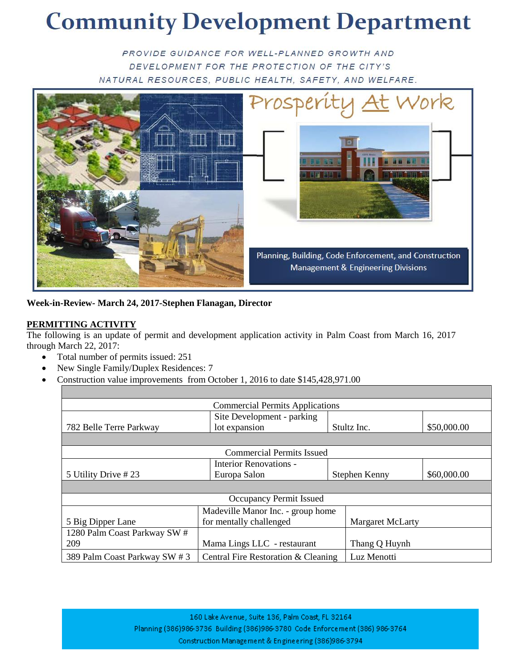# **Community Development Department**

PROVIDE GUIDANCE FOR WELL-PLANNED GROWTH AND DEVELOPMENT FOR THE PROTECTION OF THE CITY'S NATURAL RESOURCES, PUBLIC HEALTH, SAFETY, AND WELFARE.



**Week-in-Review- March 24, 2017-Stephen Flanagan, Director**

## **PERMITTING ACTIVITY**

The following is an update of permit and development application activity in Palm Coast from March 16, 2017 through March 22, 2017:

- Total number of permits issued: 251
- New Single Family/Duplex Residences: 7
- Construction value improvements from October 1, 2016 to date \$145,428,971.00

| <b>Commercial Permits Applications</b> |                                                    |                              |                  |  |  |
|----------------------------------------|----------------------------------------------------|------------------------------|------------------|--|--|
|                                        | Site Development - parking                         |                              |                  |  |  |
| 782 Belle Terre Parkway                | lot expansion                                      | Stultz Inc.                  | \$50,000.00      |  |  |
|                                        |                                                    |                              |                  |  |  |
| <b>Commercial Permits Issued</b>       |                                                    |                              |                  |  |  |
|                                        | Interior Renovations -                             |                              |                  |  |  |
| 5 Utility Drive #23                    | Europa Salon                                       | \$60,000.00<br>Stephen Kenny |                  |  |  |
|                                        |                                                    |                              |                  |  |  |
| <b>Occupancy Permit Issued</b>         |                                                    |                              |                  |  |  |
|                                        | Madeville Manor Inc. - group home                  |                              |                  |  |  |
| 5 Big Dipper Lane                      | for mentally challenged                            |                              | Margaret McLarty |  |  |
| 1280 Palm Coast Parkway SW #           |                                                    |                              |                  |  |  |
| 209                                    | Mama Lings LLC - restaurant                        |                              | Thang Q Huynh    |  |  |
| 389 Palm Coast Parkway SW #3           | Central Fire Restoration & Cleaning<br>Luz Menotti |                              |                  |  |  |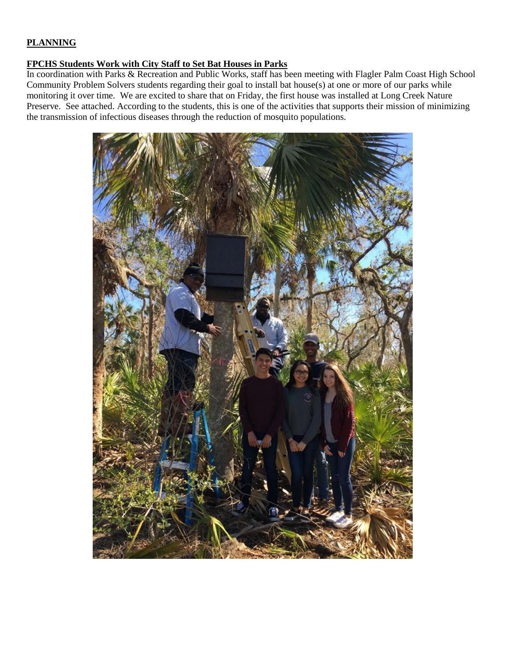### **PLANNING**

#### **FPCHS Students Work with City Staff to Set Bat Houses in Parks**

In coordination with Parks & Recreation and Public Works, staff has been meeting with Flagler Palm Coast High School Community Problem Solvers students regarding their goal to install bat house(s) at one or more of our parks while monitoring it over time. We are excited to share that on Friday, the first house was installed at Long Creek Nature Preserve. See attached. According to the students, this is one of the activities that supports their mission of minimizing the transmission of infectious diseases through the reduction of mosquito populations.